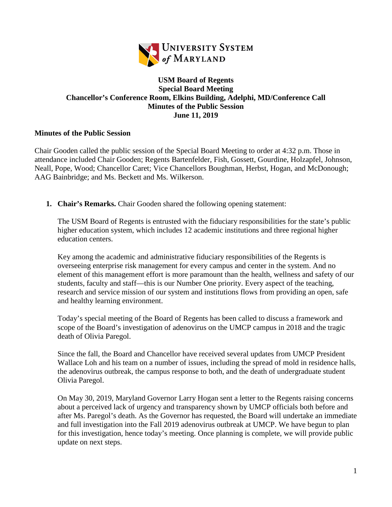

## **USM Board of Regents Special Board Meeting Chancellor's Conference Room, Elkins Building, Adelphi, MD/Conference Call Minutes of the Public Session June 11, 2019**

## **Minutes of the Public Session**

Chair Gooden called the public session of the Special Board Meeting to order at 4:32 p.m. Those in attendance included Chair Gooden; Regents Bartenfelder, Fish, Gossett, Gourdine, Holzapfel, Johnson, Neall, Pope, Wood; Chancellor Caret; Vice Chancellors Boughman, Herbst, Hogan, and McDonough; AAG Bainbridge; and Ms. Beckett and Ms. Wilkerson.

**1. Chair's Remarks.** Chair Gooden shared the following opening statement:

The USM Board of Regents is entrusted with the fiduciary responsibilities for the state's public higher education system, which includes 12 academic institutions and three regional higher education centers.

Key among the academic and administrative fiduciary responsibilities of the Regents is overseeing enterprise risk management for every campus and center in the system. And no element of this management effort is more paramount than the health, wellness and safety of our students, faculty and staff—this is our Number One priority. Every aspect of the teaching, research and service mission of our system and institutions flows from providing an open, safe and healthy learning environment.

Today's special meeting of the Board of Regents has been called to discuss a framework and scope of the Board's investigation of adenovirus on the UMCP campus in 2018 and the tragic death of Olivia Paregol.

Since the fall, the Board and Chancellor have received several updates from UMCP President Wallace Loh and his team on a number of issues, including the spread of mold in residence halls, the adenovirus outbreak, the campus response to both, and the death of undergraduate student Olivia Paregol.

On May 30, 2019, Maryland Governor Larry Hogan sent a letter to the Regents raising concerns about a perceived lack of urgency and transparency shown by UMCP officials both before and after Ms. Paregol's death. As the Governor has requested, the Board will undertake an immediate and full investigation into the Fall 2019 adenovirus outbreak at UMCP. We have begun to plan for this investigation, hence today's meeting. Once planning is complete, we will provide public update on next steps.